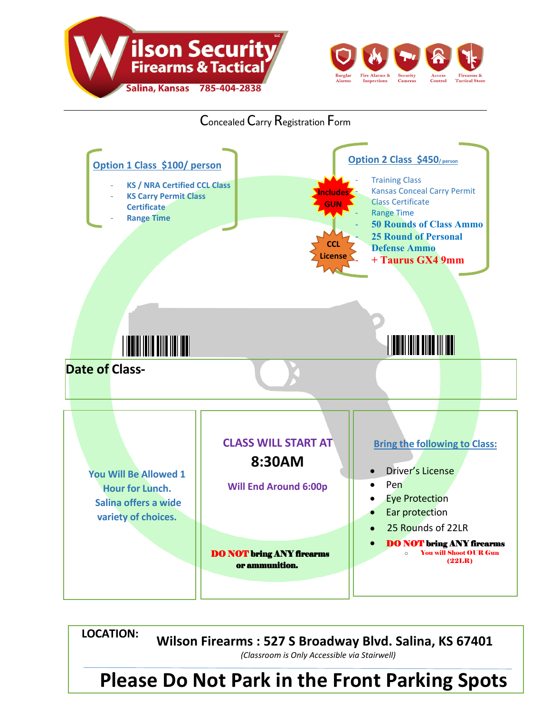



Concealed Carry Registration Form



**Please Do Not Park in the Front Parking Spots LOCATION: Wilson Firearms : 527 S Broadway Blvd. Salina, KS 67401**  *(Classroom is Only Accessible via Stairwell)*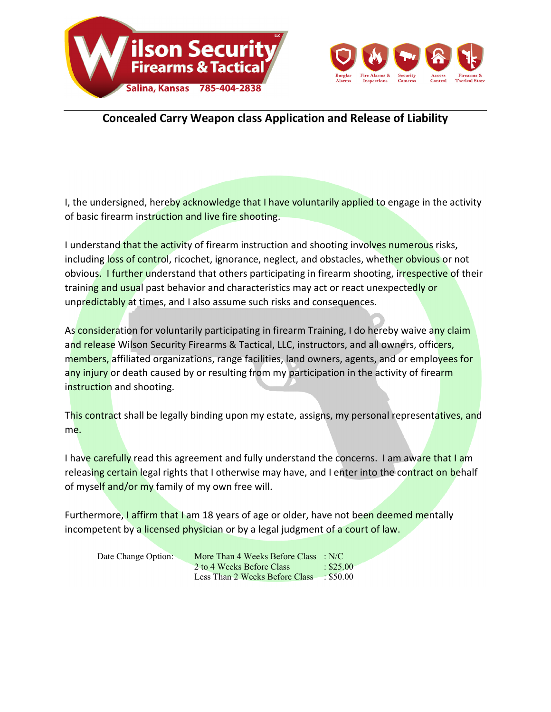



## **Concealed Carry Weapon class Application and Release of Liability**

I, the undersigned, hereby acknowledge that I have voluntarily applied to engage in the activity of basic firearm instruction and live fire shooting.

I understand that the activity of firearm instruction and shooting involves numerous risks, including loss of control, ricochet, ignorance, neglect, and obstacles, whether obvious or not obvious. I further understand that others participating in firearm shooting, irrespective of their training and usual past behavior and characteristics may act or react unexpectedly or unpredictably at times, and I also assume such risks and consequences.

As consideration for voluntarily participating in firearm Training, I do hereby waive any claim and release Wilson Security Firearms & Tactical, LLC, instructors, and all owners, officers, members, affiliated organizations, range facilities, land owners, agents, and or employees for any injury or death caused by or resulting from my participation in the activity of firearm instruction and shooting.

This contract shall be legally binding upon my estate, assigns, my personal representatives, and me.

I have carefully read this agreement and fully understand the concerns. I am aware that I am releasing certain legal rights that I otherwise may have, and I enter into the contract on behalf of myself and/or my family of my own free will.

Furthermore, I affirm that I am 18 years of age or older, have not been deemed mentally incompetent by a licensed physician or by a legal judgment of a court of law.

| Date Change Option: | More Than 4 Weeks Before Class $\therefore$ N/C |                |
|---------------------|-------------------------------------------------|----------------|
|                     | 2 to 4 Weeks Before Class                       | $\div$ \$25.00 |
|                     | Less Than 2 Weeks Before Class                  | $\div$ \$50.00 |